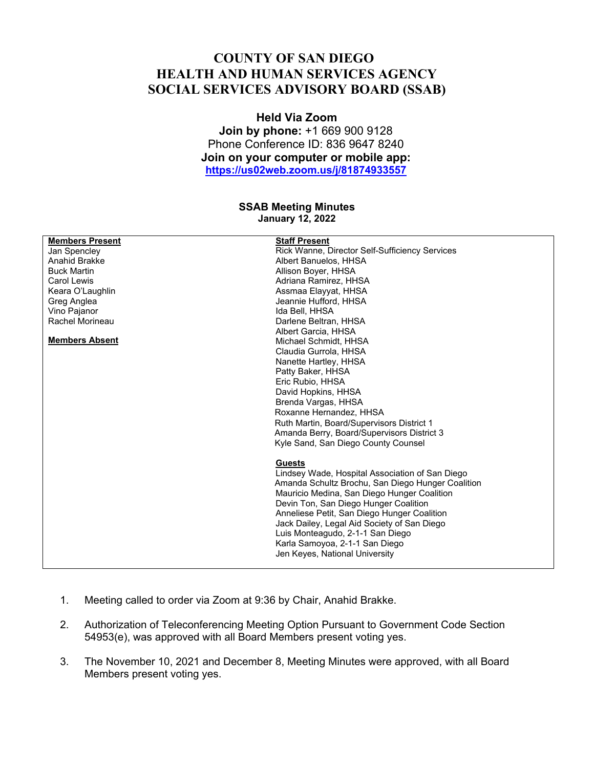## **COUNTY OF SAN DIEGO HEALTH AND HUMAN SERVICES AGENCY SOCIAL SERVICES ADVISORY BOARD (SSAB)**

## **Held Via Zoom**

**Join by phone:** +1 669 900 9128 Phone Conference ID: 836 9647 8240 **Join on your computer or mobile app: https://us02web.zoom.us/j/81874933557**

## **SSAB Meeting Minutes January 12, 2022**

| <b>Members Present</b> | <b>Staff Present</b>                              |
|------------------------|---------------------------------------------------|
| Jan Spencley           | Rick Wanne, Director Self-Sufficiency Services    |
| Anahid Brakke          | Albert Banuelos, HHSA                             |
| <b>Buck Martin</b>     | Allison Boyer, HHSA                               |
| <b>Carol Lewis</b>     | Adriana Ramirez, HHSA                             |
| Keara O'Laughlin       | Assmaa Elayyat, HHSA                              |
| Greg Anglea            | Jeannie Hufford, HHSA                             |
| Vino Pajanor           | Ida Bell, HHSA                                    |
| Rachel Morineau        | Darlene Beltran, HHSA                             |
|                        | Albert Garcia, HHSA                               |
| <b>Members Absent</b>  | Michael Schmidt, HHSA                             |
|                        | Claudia Gurrola, HHSA                             |
|                        | Nanette Hartley, HHSA                             |
|                        | Patty Baker, HHSA                                 |
|                        | Eric Rubio, HHSA                                  |
|                        | David Hopkins, HHSA                               |
|                        | Brenda Vargas, HHSA                               |
|                        | Roxanne Hernandez, HHSA                           |
|                        | Ruth Martin, Board/Supervisors District 1         |
|                        | Amanda Berry, Board/Supervisors District 3        |
|                        | Kyle Sand, San Diego County Counsel               |
|                        |                                                   |
|                        | <b>Guests</b>                                     |
|                        | Lindsey Wade, Hospital Association of San Diego   |
|                        | Amanda Schultz Brochu, San Diego Hunger Coalition |
|                        | Mauricio Medina, San Diego Hunger Coalition       |
|                        |                                                   |
|                        | Devin Ton, San Diego Hunger Coalition             |
|                        | Anneliese Petit, San Diego Hunger Coalition       |
|                        | Jack Dailey, Legal Aid Society of San Diego       |
|                        | Luis Monteagudo, 2-1-1 San Diego                  |
|                        | Karla Samoyoa, 2-1-1 San Diego                    |
|                        | Jen Keyes, National University                    |
|                        |                                                   |

- 1. Meeting called to order via Zoom at 9:36 by Chair, Anahid Brakke.
- 2. Authorization of Teleconferencing Meeting Option Pursuant to Government Code Section 54953(e), was approved with all Board Members present voting yes.
- 3. The November 10, 2021 and December 8, Meeting Minutes were approved, with all Board Members present voting yes.